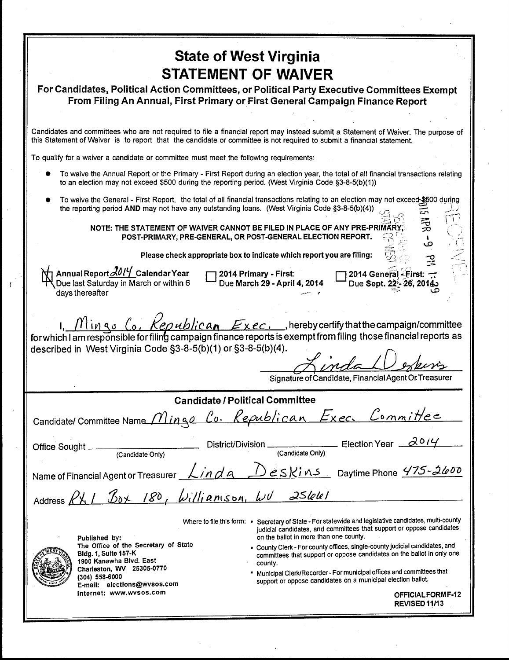| <b>State of West Virginia</b>                                                                                                                                                                                                                                                                                                                                                                                                                                                                        |
|------------------------------------------------------------------------------------------------------------------------------------------------------------------------------------------------------------------------------------------------------------------------------------------------------------------------------------------------------------------------------------------------------------------------------------------------------------------------------------------------------|
| <b>STATEMENT OF WAIVER</b>                                                                                                                                                                                                                                                                                                                                                                                                                                                                           |
| For Candidates, Political Action Committees, or Political Party Executive Committees Exempt<br>From Filing An Annual, First Primary or First General Campaign Finance Report                                                                                                                                                                                                                                                                                                                         |
|                                                                                                                                                                                                                                                                                                                                                                                                                                                                                                      |
| Candidates and committees who are not required to file a financial report may instead submit a Statement of Waiver. The purpose of<br>this Statement of Waiver is to report that the candidate or committee is not required to submit a financial statement.                                                                                                                                                                                                                                         |
| To qualify for a waiver a candidate or committee must meet the following requirements:                                                                                                                                                                                                                                                                                                                                                                                                               |
| To waive the Annual Report or the Primary - First Report during an election year, the total of all financial transactions relating<br>to an election may not exceed \$500 during the reporting period. (West Virginia Code §3-8-5(b)(1))                                                                                                                                                                                                                                                             |
| To waive the General - First Report, the total of all financial transactions relating to an election may not exceed \$500 during<br>the reporting period AND may not have any outstanding loans. (West Virginia Code §3-8-5(b)(4))                                                                                                                                                                                                                                                                   |
| 亳<br>NOTE: THE STATEMENT OF WAIVER CANNOT BE FILED IN PLACE OF ANY PRE-PRIMA<br>POST-PRIMARY, PRE-GENERAL, OR POST-GENERAL ELECTION REPORT.<br>ص                                                                                                                                                                                                                                                                                                                                                     |
| Please check appropriate box to indicate which report you are filing:                                                                                                                                                                                                                                                                                                                                                                                                                                |
| Annual Report 2014 Calendar Year<br>2014 General - First:<br>2014 Primary - First:<br>Due last Saturday in March or within 6<br>Due March 29 - April 4, 2014<br>Due Sept. 22:- 26, 2014<br>days thereafter                                                                                                                                                                                                                                                                                           |
| $\frac{\int_{0}^{x} \int_{0}^{x} \int_{0}^{x} \int_{0}^{x} \int_{0}^{x} \int_{0}^{x} \int_{0}^{x} \int_{0}^{x} \int_{0}^{x} \int_{0}^{x} \int_{0}^{x} \int_{0}^{x} \int_{0}^{x} \int_{0}^{x} \int_{0}^{x} \int_{0}^{x} \int_{0}^{x} \int_{0}^{x} \int_{0}^{x} \int_{0}^{x} \int_{0}^{x} \int_{0}^{x} \int_{0}^{x} \int_{0}^{x} \int_{0}^{x} \int_{0}^{x} \int_{0}^{x} \int$<br>described in West Virginia Code §3-8-5(b)(1) or §3-8-5(b)(4).<br>Signature of Candidate, Financial Agent Or Treasurer |
| <b>Candidate / Political Committee</b>                                                                                                                                                                                                                                                                                                                                                                                                                                                               |
| Candidate/Committee Name Mingo Co. Republican Exec. Committee                                                                                                                                                                                                                                                                                                                                                                                                                                        |
|                                                                                                                                                                                                                                                                                                                                                                                                                                                                                                      |
| Name of Financial Agent or Treasurer <u>Linda</u> Deskins Daytime Phone 475-2600                                                                                                                                                                                                                                                                                                                                                                                                                     |
| Address RX1 Box 180, Williamson, WU 25661                                                                                                                                                                                                                                                                                                                                                                                                                                                            |
| Where to file this form: * Secretary of State - For statewide and legislative candidates, multi-county<br>judicial candidates, and committees that support or oppose candidates<br>on the ballot in more than one county.<br>Published by:                                                                                                                                                                                                                                                           |
| The Office of the Secretary of State<br>* County Clerk - For county offices, single-county judicial candidates, and<br><b>Bldg. 1, Suite 157-K</b><br>committees that support or oppose candidates on the ballot in only one<br>1900 Kanawha Blvd. East<br>county.                                                                                                                                                                                                                                   |
| Charleston, WV 25305-0770<br>* Municipal Clerk/Recorder - For municipal offices and committees that<br>(304) 558-6000<br>support or oppose candidates on a municipal election ballot.<br>E-mail: elections@wvsos.com<br>Internet: www.wvsos.com                                                                                                                                                                                                                                                      |
|                                                                                                                                                                                                                                                                                                                                                                                                                                                                                                      |

 $\pmb{j}$